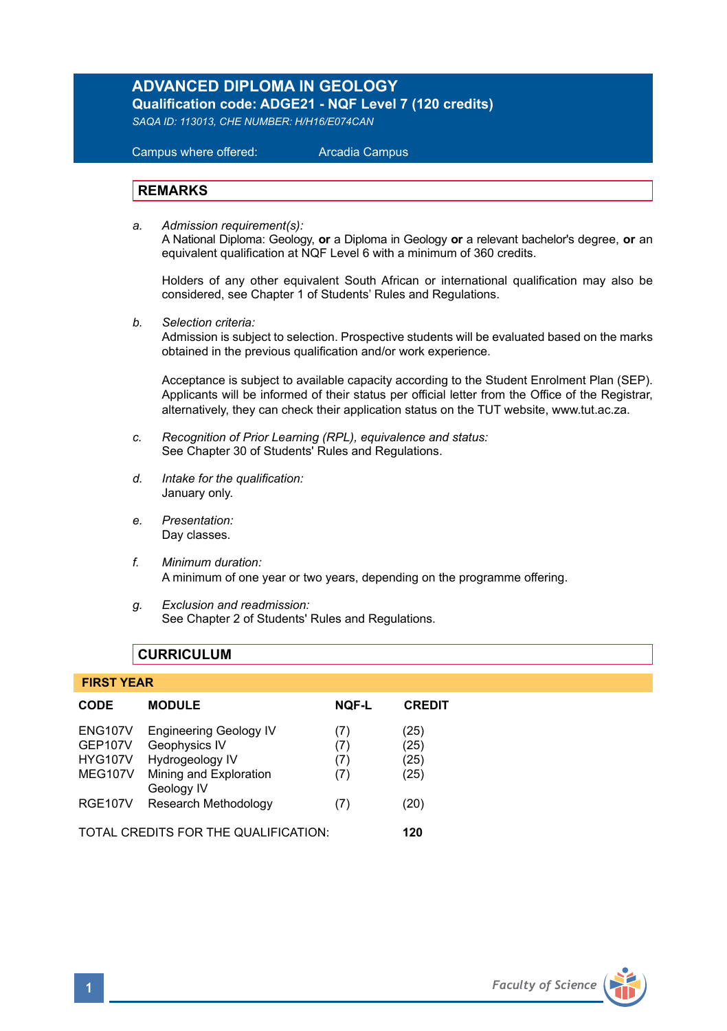# **ADVANCED DIPLOMA IN GEOLOGY**

**Qualification code: ADGE21 - NQF Level 7 (120 credits)** 

*SAQA ID: 113013, CHE NUMBER: H/H16/E074CAN* 

 Campus where offered: Arcadia Campus

#### **REMARKS**

*a. Admission requirement(s):*  A National Diploma: Geology, **or** a Diploma in Geology **or** a relevant bachelor's degree, **or** an equivalent qualification at NQF Level 6 with a minimum of 360 credits.

Holders of any other equivalent South African or international qualification may also be considered, see Chapter 1 of Students' Rules and Regulations.

*b. Selection criteria:*

Admission is subject to selection. Prospective students will be evaluated based on the marks obtained in the previous qualification and/or work experience.

Acceptance is subject to available capacity according to the Student Enrolment Plan (SEP). Applicants will be informed of their status per official letter from the Office of the Registrar, alternatively, they can check their application status on the TUT website, www.tut.ac.za.

- *c. Recognition of Prior Learning (RPL), equivalence and status:* See Chapter 30 of Students' Rules and Regulations.
- *d. Intake for the qualification:* January only.
- *e. Presentation:* Day classes.
- *f. Minimum duration:* A minimum of one year or two years, depending on the programme offering.
- *g. Exclusion and readmission:* See Chapter 2 of Students' Rules and Regulations.

# **CURRICULUM**

#### **FIRST YEAR**

| <b>CODE</b>                                                          | <b>MODULE</b>                                                                               | <b>NOF-L</b>             | <b>CREDIT</b>                |
|----------------------------------------------------------------------|---------------------------------------------------------------------------------------------|--------------------------|------------------------------|
| <b>ENG107V</b><br><b>GEP107V</b><br><b>HYG107V</b><br><b>MEG107V</b> | <b>Engineering Geology IV</b><br>Geophysics IV<br>Hydrogeology IV<br>Mining and Exploration | (7)<br>(7)<br>(7)<br>(7) | (25)<br>(25)<br>(25)<br>(25) |
| <b>RGE107V</b>                                                       | Geology IV<br>Research Methodology                                                          | (7)                      | (20)                         |
| TOTAL CREDITS FOR THE QUALIFICATION:                                 |                                                                                             |                          | 120                          |